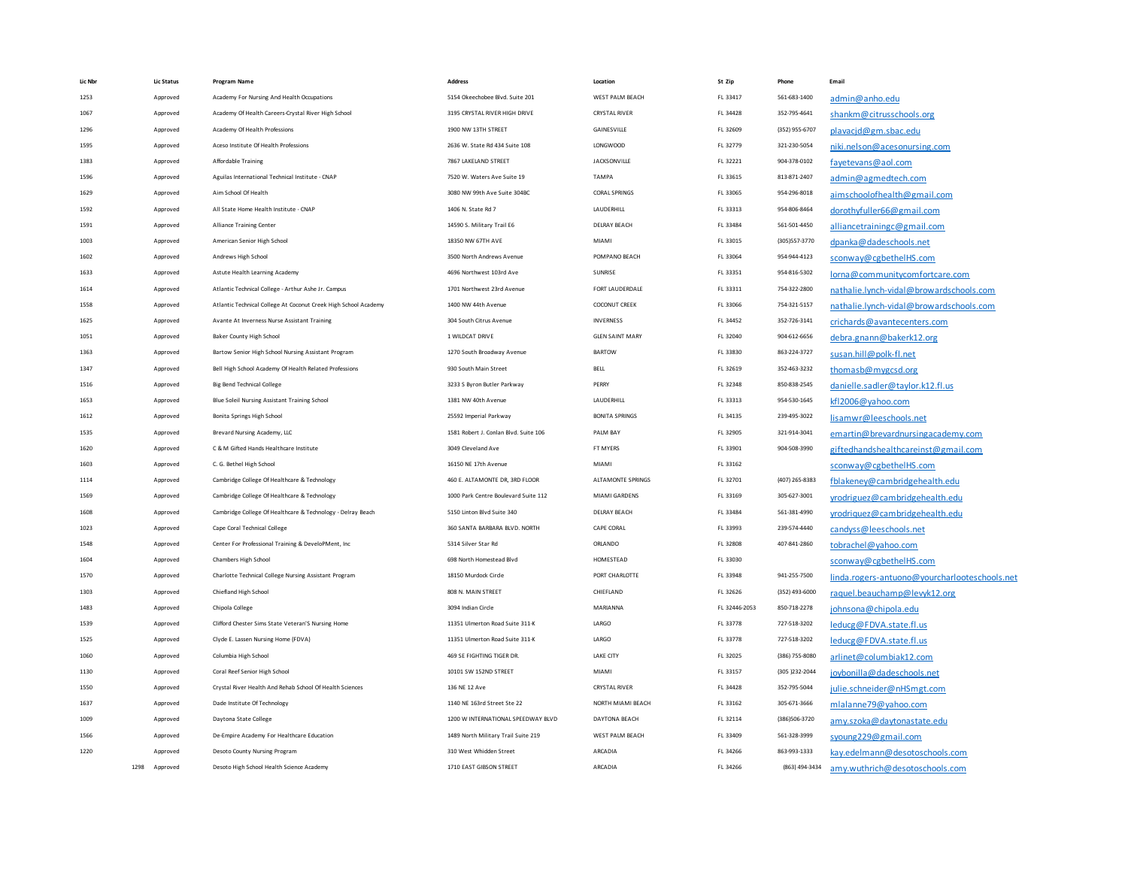| Lic Nbr | <b>Lic Status</b> | <b>Program Name</b>                                             | Address                               | Location                 | St Zip        | Phone          | Email                                         |
|---------|-------------------|-----------------------------------------------------------------|---------------------------------------|--------------------------|---------------|----------------|-----------------------------------------------|
| 1253    | Approved          | Academy For Nursing And Health Occupations                      | 5154 Okeechobee Blvd. Suite 201       | WEST PALM BEACH          | FL 33417      | 561-683-1400   | admin@anho.edu                                |
| 1067    | Approved          | Academy Of Health Careers-Crystal River High School             | 3195 CRYSTAL RIVER HIGH DRIVE         | <b>CRYSTAL RIVER</b>     | FL 34428      | 352-795-4641   | shankm@citrusschools.org                      |
| 1296    | Approved          | Academy Of Health Professions                                   | 1900 NW 13TH STREET                   | GAINESVILLE              | FL 32609      | (352) 955-6707 | plavacjd@gm.sbac.edu                          |
| 1595    | Approved          | Aceso Institute Of Health Professions                           | 2636 W. State Rd 434 Suite 108        | <b>LONGWOOD</b>          | FL 32779      | 321-230-5054   | niki.nelson@acesonursing.com                  |
| 1383    | Approved          | Affordable Training                                             | 7867 LAKELAND STREET                  | <b>JACKSONVILLE</b>      | FL 32221      | 904-378-0102   | fayetevans@aol.com                            |
| 1596    | Approved          | Aguilas International Technical Institute - CNAP                | 7520 W. Waters Ave Suite 19           | TAMPA                    | FL 33615      | 813-871-2407   | admin@agmedtech.com                           |
| 1629    | Approved          | Aim School Of Health                                            | 3080 NW 99th Ave Suite 304BC          | <b>CORAL SPRINGS</b>     | FL 33065      | 954-296-8018   | aimschoolofhealth@gmail.com                   |
| 1592    | Approved          | All State Home Health Institute - CNAP                          | 1406 N. State Rd 7                    | LAUDERHILL               | FL 33313      | 954-806-8464   | dorothyfuller66@gmail.com                     |
| 1591    | Approved          | <b>Alliance Training Center</b>                                 | 14590 S. Military Trail E6            | DELRAY BEACH             | FL 33484      | 561-501-4450   | alliancetrainingc@gmail.com                   |
| 1003    | Approved          | American Senior High School                                     | 18350 NW 67TH AVE                     | MIAMI                    | FL 33015      | (305)557-3770  | dpanka@dadeschools.net                        |
| 1602    | Approved          | Andrews High School                                             | 3500 North Andrews Avenue             | POMPANO BEACH            | FL 33064      | 954-944-4123   | sconway@cgbethelHS.com                        |
| 1633    | Approved          | Astute Health Learning Academy                                  | 4696 Northwest 103rd Ave              | <b>SUNRISE</b>           | FL 33351      | 954-816-5302   | lorna@communitycomfortcare.com                |
| 1614    | Approved          | Atlantic Technical College - Arthur Ashe Jr. Campus             | 1701 Northwest 23rd Avenue            | FORT LAUDERDALE          | FL 33311      | 754-322-2800   | nathalie.lynch-vidal@browardschools.com       |
| 1558    | Approved          | Atlantic Technical College At Coconut Creek High School Academy | 1400 NW 44th Avenue                   | <b>COCONUT CREEK</b>     | FL 33066      | 754-321-5157   | nathalie.lynch-vidal@browardschools.com       |
| 1625    | Approved          | Avante At Inverness Nurse Assistant Training                    | 304 South Citrus Avenue               | <b>INVERNESS</b>         | FL 34452      | 352-726-3141   | crichards@avantecenters.com                   |
| 1051    | Approved          | Baker County High School                                        | 1 WILDCAT DRIVE                       | <b>GIFN SAINT MARY</b>   | FI 32040      | 904-612-6656   | debra.gnann@bakerk12.org                      |
| 1363    | Approved          | Bartow Senior High School Nursing Assistant Program             | 1270 South Broadway Avenue            | <b>BARTOW</b>            | FL 33830      | 863-224-3727   | susan.hill@polk-fl.net                        |
| 1347    | Approved          | Bell High School Academy Of Health Related Professions          | 930 South Main Street                 | <b>BELL</b>              | FL 32619      | 352-463-3232   | thomasb@mygcsd.org                            |
| 1516    | Approved          | <b>Big Bend Technical College</b>                               | 3233 S Byron Butler Parkway           | PERRY                    | FL 32348      | 850-838-2545   | danielle.sadler@taylor.k12.fl.us              |
| 1653    | Approved          | Blue Soleil Nursing Assistant Training School                   | 1381 NW 40th Avenue                   | <b>LAUDERHILL</b>        | FL 33313      | 954-530-1645   | kfl2006@yahoo.com                             |
| 1612    | Approved          | Bonita Springs High School                                      | 25592 Imperial Parkway                | <b>BONITA SPRINGS</b>    | FL 34135      | 239-495-3022   | lisamwr@leeschools.net                        |
| 1535    | Approved          | Brevard Nursing Academy, LLC                                    | 1581 Robert J. Conlan Blvd. Suite 106 | PALM BAY                 | FL 32905      | 321-914-3041   | emartin@brevardnursingacademy.com             |
| 1620    | Approved          | C & M Gifted Hands Healthcare Institute                         | 3049 Cleveland Ave                    | <b>FT MYFRS</b>          | FL 33901      | 904-508-3990   | giftedhandshealthcareinst@gmail.com           |
| 1603    | Approved          | C. G. Bethel High School                                        | 16150 NE 17th Avenue                  | MIAMI                    | FL 33162      |                | sconway@cgbethelHS.com                        |
| 1114    | Approved          | Cambridge College Of Healthcare & Technology                    | 460 E. ALTAMONTE DR, 3RD FLOOR        | <b>ALTAMONTE SPRINGS</b> | FL 32701      | (407) 265-8383 | fblakeney@cambridgehealth.edu                 |
| 1569    | Approved          | Cambridge College Of Healthcare & Technology                    | 1000 Park Centre Boulevard Suite 112  | MIAMI GARDENS            | FL 33169      | 305-627-3001   | yrodriguez@cambridgehealth.edu                |
| 1608    | Approved          | Cambridge College Of Healthcare & Technology - Delray Beach     | 5150 Linton Blvd Suite 340            | DEI RAY BEACH            | FL 33484      | 561-381-4990   | yrodriguez@cambridgehealth.edu                |
| 1023    | Approved          | Cape Coral Technical College                                    | 360 SANTA BARBARA BLVD, NORTH         | CAPE CORAL               | FL 33993      | 239-574-4440   | candyss@leeschools.net                        |
| 1548    | Approved          | Center For Professional Training & DeveloPMent, Inc             | 5314 Silver Star Rd                   | ORLANDO                  | EL 32808      | 407-841-2860   | tobrachel@yahoo.com                           |
| 1604    | Approved          | Chambers High School                                            | 698 North Homestead Blvd              | HOMESTEAD                | FL 33030      |                | sconway@cgbethelHS.com                        |
| 1570    | Approved          | Charlotte Technical College Nursing Assistant Program           | 18150 Murdock Circle                  | PORT CHARLOTTE           | FL 33948      | 941-255-7500   | linda.rogers-antuono@yourcharlooteschools.net |
| 1303    | Approved          | Chiefland High School                                           | 808 N. MAIN STREET                    | CHIEFLAND                | FL 32626      | (352) 493-6000 | raquel.beauchamp@levyk12.org                  |
| 1483    | Approved          | Chipola College                                                 | 3094 Indian Circle                    | MARIANNA                 | FL 32446-2053 | 850-718-2278   | johnsona@chipola.edu                          |
| 1539    | Approved          | Clifford Chester Sims State Veteran'S Nursing Home              | 11351 Ulmerton Road Suite 311-K       | <b>IARGO</b>             | FI 33778      | 727-518-3202   | leducg@FDVA.state.fl.us                       |
| 1525    | Approved          | Clyde E. Lassen Nursing Home (FDVA)                             | 11351 Ulmerton Road Suite 311-K       | LARGO                    | FL 33778      | 727-518-3202   | leducg@FDVA.state.fl.us                       |
| 1060    | Approved          | Columbia High School                                            | 469 SE FIGHTING TIGER DR.             | <b>LAKE CITY</b>         | FL 32025      | (386) 755-8080 | arlinet@columbiak12.com                       |
| 1130    | Approved          | Coral Reef Senior High School                                   | 10101 SW 152ND STREET                 | MIAMI                    | FL 33157      | (305 )232-2044 | joybonilla@dadeschools.net                    |
| 1550    | Approved          | Crystal River Health And Rehab School Of Health Sciences        | 136 NE 12 Ave                         | <b>CRYSTAL RIVER</b>     | FL 34428      | 352-795-5044   | julie.schneider@nHSmgt.com                    |
| 1637    | Approved          | Dade Institute Of Technology                                    | 1140 NE 163rd Street Ste 22           | NORTH MIAMI BEACH        | FL 33162      | 305-671-3666   | mlalanne79@yahoo.com                          |
| 1009    | Approved          | Davtona State College                                           | 1200 W INTERNATIONAL SPEEDWAY BLVD    | DAYTONA BEACH            | FI 32114      | (386)506-3720  | amy.szoka@daytonastate.edu                    |
| 1566    | Approved          | De-Empire Academy For Healthcare Education                      | 1489 North Military Trail Suite 219   | WEST PALM BEACH          | FL 33409      | 561-328-3999   | syoung229@gmail.com                           |
| 1220    | Approved          | Desoto County Nursing Program                                   | 310 West Whidden Street               | ARCADIA                  | FL 34266      | 863-993-1333   | kay.edelmann@desotoschools.com                |
|         | 1298<br>Approved  | Desoto High School Health Science Academy                       | 1710 EAST GIBSON STREET               | ARCADIA                  | FL 34266      | (863) 494-3434 | amy.wuthrich@desotoschools.com                |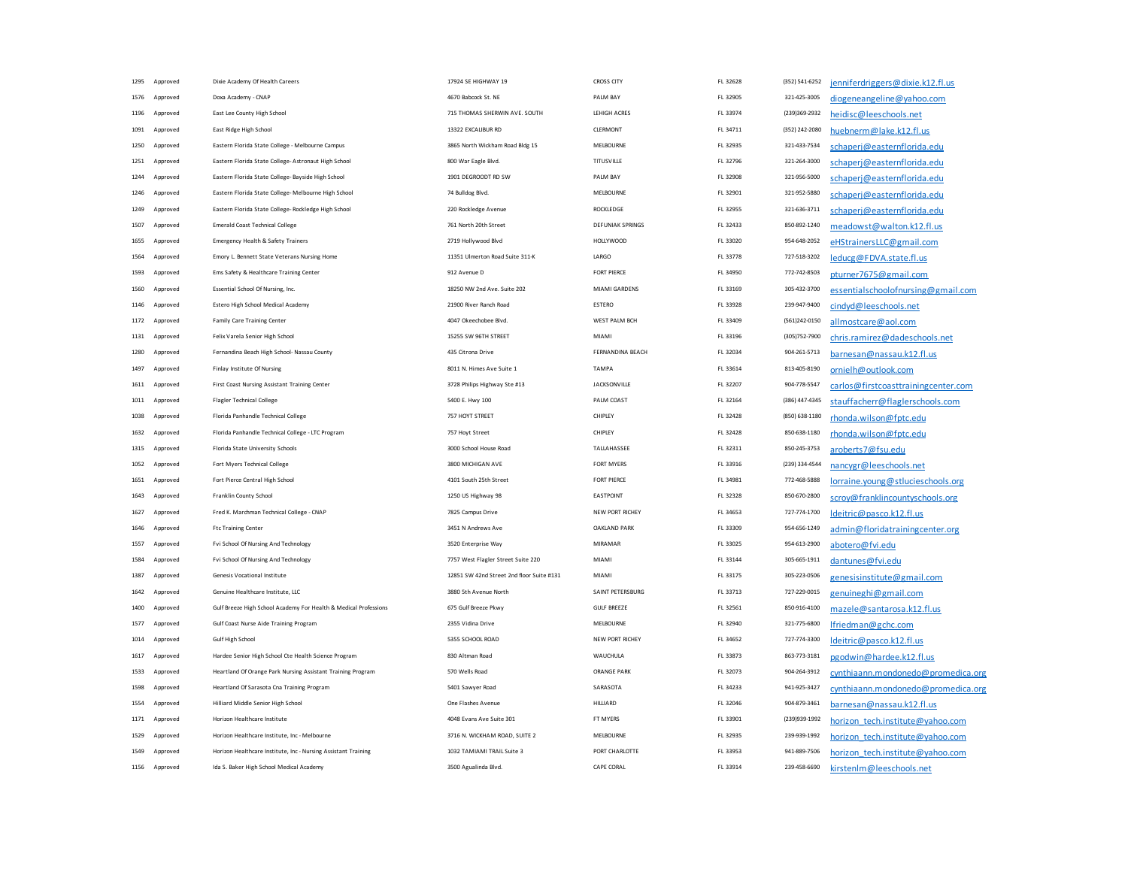| 1295 | Approved | Dixie Academy Of Health Careers                                  | 17924 SE HIGHWAY 19                       | CROSS CITY          | FL 32628 | (352) 541-6252 | jenniferdriggers@dixie.k12.fl.us    |
|------|----------|------------------------------------------------------------------|-------------------------------------------|---------------------|----------|----------------|-------------------------------------|
| 1576 | Approved | Doxa Academy - CNAP                                              | 4670 Babcock St. NE                       | PALM BAY            | FL 32905 | 321-425-3005   | diogeneangeline@yahoo.com           |
| 1196 | Approved | East Lee County High School                                      | 715 THOMAS SHERWIN AVE, SOUTH             | LEHIGH ACRES        | FL 33974 | (239)369-2932  | heidisc@leeschools.net              |
| 1091 | Approved | East Ridge High School                                           | 13322 EXCALIBUR RD                        | CLERMONT            | FL 34711 | (352) 242-2080 | huebnerm@lake.k12.fl.us             |
| 1250 | Approved | Eastern Florida State College - Melbourne Campus                 | 3865 North Wickham Road Bldg 15           | MELBOURNE           | FL 32935 | 321-433-7534   | schaperi@easternflorida.edu         |
| 1251 | Approved | Eastern Florida State College-Astronaut High School              | 800 War Eagle Blyd                        | <b>TITUSVILLE</b>   | FL 32796 | 321-264-3000   | schaperj@easternflorida.edu         |
| 1244 | Approved | Eastern Florida State College- Bayside High School               | 1901 DEGROODT RD SW                       | PALM BAY            | FL 32908 | 321-956-5000   | schaperj@easternflorida.edu         |
| 1246 | Approved | Eastern Florida State College- Melbourne High School             | 74 Bulldog Blvd.                          | MELBOURNE           | FL 32901 | 321-952-5880   | schaperj@easternflorida.edu         |
| 1249 | Approved | Eastern Florida State College- Rockledge High School             | 220 Rockledge Avenue                      | <b>ROCKLEDGE</b>    | FL 32955 | 321-636-3711   | schaperj@easternflorida.edu         |
| 1507 | Approved | Emerald Coast Technical College                                  | 761 North 20th Street                     | DEFUNIAK SPRINGS    | FL 32433 | 850-892-1240   | meadowst@walton.k12.fl.us           |
| 1655 | Approved | <b>Emergency Health &amp; Safety Trainers</b>                    | 2719 Hollywood Blvd                       | HOLLYWOOD           | FL 33020 | 954-648-2052   | eHStrainersLLC@gmail.com            |
| 1564 | Approved | Emory L. Bennett State Veterans Nursing Home                     | 11351 Ulmerton Road Suite 311-K           | LARGO               | FL 33778 | 727-518-3202   | leducg@FDVA.state.fl.us             |
| 1593 | Approved | Ems Safety & Healthcare Training Center                          | 912 Avenue D                              | <b>FORT PIFRCE</b>  | FL 34950 | 772-742-8503   | pturner7675@gmail.com               |
| 1560 | Approved | Essential School Of Nursing, Inc.                                | 18250 NW 2nd Ave. Suite 202               | MIAMI GARDENS       | FL 33169 | 305-432-3700   | essentialschoolofnursing@gmail.com  |
| 1146 | Approved | Estero High School Medical Academy                               | 21900 River Ranch Road                    | <b>FSTERO</b>       | FL 33928 | 239-947-9400   | cindyd@leeschools.net               |
| 1172 | Approved | <b>Family Care Training Center</b>                               | 4047 Okeechobee Blvd                      | WEST PAIM BCH       | FL 33409 | (561)242-0150  | allmostcare@aol.com                 |
| 1131 | Approved | Felix Varela Senior High School                                  | 15255 SW 96TH STREET                      | MIAMI               | FL 33196 | (305)752-7900  | chris.ramirez@dadeschools.net       |
| 1280 | Approved | Fernandina Beach High School- Nassau County                      | 435 Citrona Drive                         | FERNANDINA BEACH    | FL 32034 | 904-261-5713   | barnesan@nassau.k12.fl.us           |
| 1497 | Approved | Finlay Institute Of Nursing                                      | 8011 N. Himes Ave Suite 1                 | TAMPA               | FL 33614 | 813-405-8190   | ornielh@outlook.com                 |
| 1611 | Approved | First Coast Nursing Assistant Training Center                    | 3728 Philips Highway Ste #13              | <b>JACKSONVILLE</b> | FL 32207 | 904-778-5547   | carlos@firstcoasttrainingcenter.com |
| 1011 | Approved | <b>Flagler Technical College</b>                                 | 5400 E. Hwy 100                           | PALM COAST          | FL 32164 | (386) 447-4345 | stauffacherr@flaglerschools.com     |
| 1038 | Approved | Florida Panhandle Technical College                              | 757 HOYT STREET                           | CHIPLEY             | FL 32428 | (850) 638-1180 | rhonda.wilson@fptc.edu              |
| 1632 | Approved | Florida Panhandle Technical College - LTC Program                | 757 Hoyt Street                           | <b>CHIPLEY</b>      | FL 32428 | 850-638-1180   | rhonda.wilson@fptc.edu              |
| 1315 | Approved | Florida State University Schools                                 | 3000 School House Road                    | TALLAHASSEE         | FL 32311 | 850-245-3753   | aroberts7@fsu.edu                   |
| 1052 | Approved | Fort Myers Technical College                                     | 3800 MICHIGAN AVE                         | <b>FORT MYERS</b>   | FL 33916 | (239) 334-4544 | nancygr@leeschools.net              |
| 1651 | Approved | Fort Pierce Central High School                                  | 4101 South 25th Street                    | <b>FORT PIERCE</b>  | FL 34981 | 772-468-5888   | lorraine.young@stlucieschools.org   |
| 1643 | Approved | Franklin County School                                           | 1250 US Highway 98                        | <b>FASTPOINT</b>    | FL 32328 | 850-670-2800   | scroy@franklincountyschools.org     |
| 1627 | Approved | Fred K. Marchman Technical College - CNAP                        | 7825 Campus Drive                         | NEW PORT RICHEY     | FL 34653 | 727-774-1700   | Ideitric@pasco.k12.fl.us            |
| 1646 | Approved | <b>Ftc Training Center</b>                                       | 3451 N Andrews Ave                        | <b>OAKLAND PARK</b> | FL 33309 | 954-656-1249   | admin@floridatrainingcenter.org     |
| 1557 | Approved | Fvi School Of Nursing And Technology                             | 3520 Enterprise Way                       | MIRAMAR             | FL 33025 | 954-613-2900   | abotero@fvi.edu                     |
| 1584 | Approved | Fvi School Of Nursing And Technology                             | 7757 West Flagler Street Suite 220        | MIAMI               | FL 33144 | 305-665-1911   | dantunes@fvi.edu                    |
| 1387 | Approved | Genesis Vocational Institute                                     | 12851 SW 42nd Street 2nd floor Suite #131 | MIAMI               | FL 33175 | 305-223-0506   | genesisinstitute@gmail.com          |
| 1642 | Approved | Genuine Healthcare Institute, LLC                                | 3880 5th Avenue North                     | SAINT PETERSBURG    | FL 33713 | 727-229-0015   | genuineghi@gmail.com                |
| 1400 | Approved | Gulf Breeze High School Academy For Health & Medical Professions | 675 Gulf Breeze Pkwy                      | <b>GULF BREEZE</b>  | FL 32561 | 850-916-4100   | mazele@santarosa.k12.fl.us          |
| 1577 | Approved | Gulf Coast Nurse Aide Training Program                           | 2355 Vidina Drive                         | <b>MEI BOURNE</b>   | FL 32940 | 321-775-6800   | lfriedman@gchc.com                  |
| 1014 | Approved | Gulf High School                                                 | 5355 SCHOOL ROAD                          | NFW PORT RICHEY     | FL 34652 | 727-774-3300   | ldeitric@pasco.k12.fl.us            |
| 1617 | Approved | Hardee Senior High School Cte Health Science Program             | 830 Altman Road                           | WAUCHULA            | FL 33873 | 863-773-3181   | pgodwin@hardee.k12.fl.us            |
| 1533 | Approved | Heartland Of Orange Park Nursing Assistant Training Program      | 570 Wells Road                            | <b>ORANGE PARK</b>  | FL 32073 | 904-264-3912   | cynthiaann.mondonedo@promedica.org  |
| 1598 | Approved | Heartland Of Sarasota Cna Training Program                       | 5401 Sawyer Road                          | SARASOTA            | FL 34233 | 941-925-3427   | cynthiaann.mondonedo@promedica.org  |
| 1554 | Approved | Hilliard Middle Senior High School                               | One Flashes Avenue                        | HILLIARD            | FL 32046 | 904-879-3461   | barnesan@nassau.k12.fl.us           |
| 1171 | Approved | Horizon Healthcare Institute                                     | 4048 Evans Ave Suite 301                  | <b>FT MYFRS</b>     | FI 33901 | (239)939-1992  | horizon tech.institute@yahoo.com    |
| 1529 | Approved | Horizon Healthcare Institute, Inc - Melbourne                    | 3716 N. WICKHAM ROAD, SUITE 2             | <b>MEI BOURNE</b>   | FL 32935 | 239-939-1992   | horizon tech.institute@yahoo.com    |
| 1549 | Approved | Horizon Healthcare Institute, Inc - Nursing Assistant Training   | 1032 TAMIAMI TRAIL Suite 3                | PORT CHARLOTTE      | FL 33953 | 941-889-7506   | horizon tech.institute@vahoo.com    |
| 1156 | Approved | Ida S. Baker High School Medical Academy                         | 3500 Agualinda Blvd.                      | CAPE CORAL          | FL 33914 | 239-458-6690   | kirstenIm@leeschools.net            |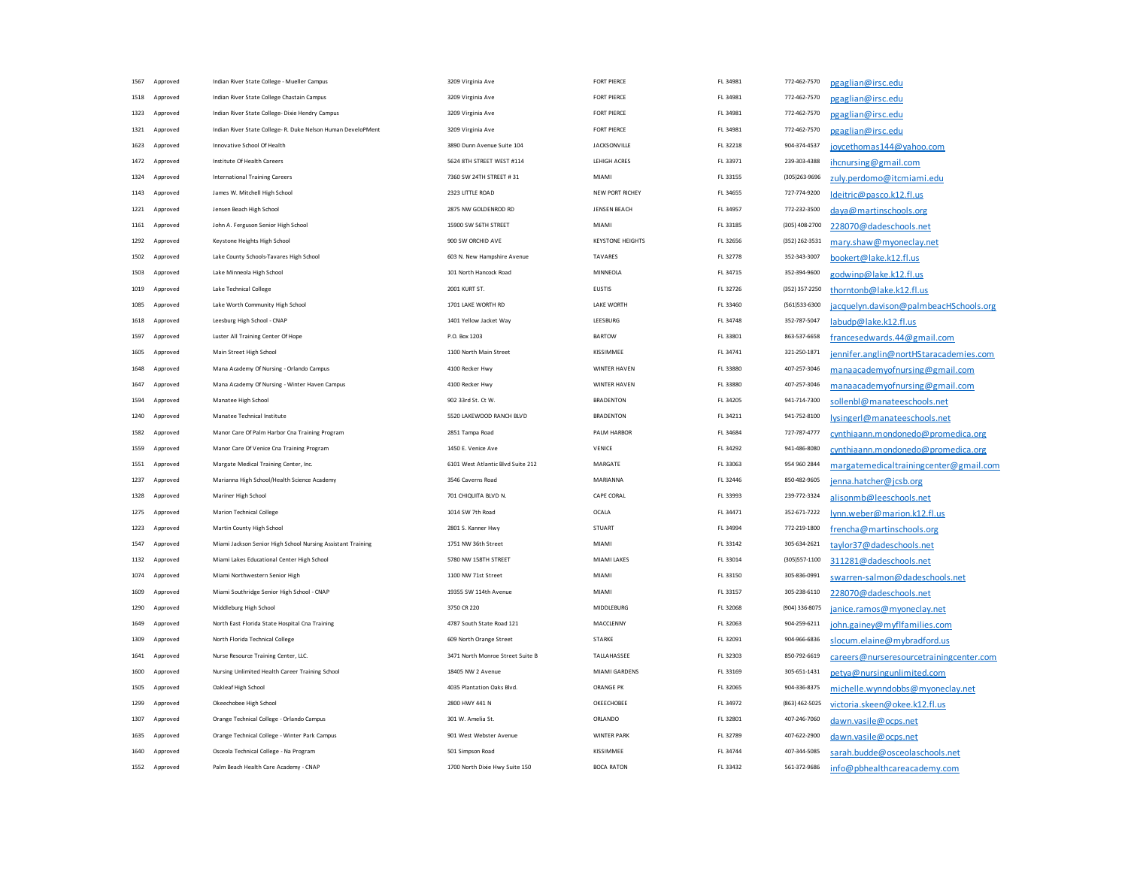| 1567 | Approved      | Indian River State College - Mueller Campus                  | 3209 Virginia Ave                 | <b>FORT PIERCE</b>      | FL 34981 | 772-462-7570   | pgaglian@irsc.edu                       |
|------|---------------|--------------------------------------------------------------|-----------------------------------|-------------------------|----------|----------------|-----------------------------------------|
| 1518 | Approved      | Indian River State College Chastain Campus                   | 3209 Virginia Ave                 | <b>FORT PIERCE</b>      | FL 34981 | 772-462-7570   | pgaglian@irsc.edu                       |
| 1323 | Approved      | Indian River State College- Dixie Hendry Campus              | 3209 Virginia Ave                 | <b>FORT PIFRCE</b>      | FL 34981 | 772-462-7570   | pgaglian@irsc.edu                       |
| 1321 | Approved      | Indian River State College- R. Duke Nelson Human DeveloPMent | 3209 Virginia Ave                 | <b>FORT PIERCE</b>      | FL 34981 | 772-462-7570   | pgaglian@irsc.edu                       |
| 1623 | Approved      | Innovative School Of Health                                  | 3890 Dunn Avenue Suite 104        | <b>JACKSONVILLE</b>     | FL 32218 | 904-374-4537   | joycethomas144@yahoo.com                |
| 1472 | Approved      | Institute Of Health Careers                                  | 5624 8TH STREET WEST #114         | LEHIGH ACRES            | FL 33971 | 239-303-4388   | ihcnursing@gmail.com                    |
| 1324 | Approved      | <b>International Training Careers</b>                        | 7360 SW 24TH STREET #31           | MIAMI                   | FL 33155 | (305)263-9696  | zuly.perdomo@itcmiami.edu               |
| 1143 | Approved      | James W. Mitchell High School                                | 2323 LITTLE ROAD                  | <b>NEW PORT RICHEY</b>  | FL 34655 | 727-774-9200   | ldeitric@pasco.k12.fl.us                |
| 1221 | Approved      | Jensen Beach High School                                     | 2875 NW GOLDENROD RD              | JENSEN BEACH            | FL 34957 | 772-232-3500   | dava@martinschools.org                  |
| 1161 | Approved      | John A. Ferguson Senior High School                          | 15900 SW 56TH STREET              | MIAMI                   | FL 33185 | (305) 408-2700 | 228070@dadeschools.net                  |
| 1292 | Approved      | Keystone Heights High School                                 | 900 SW ORCHID AVE                 | <b>KEYSTONE HEIGHTS</b> | FL 32656 | (352) 262-3531 | mary.shaw@myoneclay.net                 |
| 1502 | Approved      | Lake County Schools-Tavares High School                      | 603 N. New Hampshire Avenue       | <b>TAVARES</b>          | FL 32778 | 352-343-3007   | bookert@lake.k12.fl.us                  |
| 1503 | Approved      | Lake Minneola High School                                    | 101 North Hancock Road            | MINNEOLA                | FL 34715 | 352-394-9600   | godwinp@lake.k12.fl.us                  |
| 1019 | Approved      | Lake Technical College                                       | 2001 KURT ST.                     | <b>EUSTIS</b>           | FL 32726 | (352) 357-2250 | thorntonb@lake.k12.fl.us                |
| 1085 | Approved      | Lake Worth Community High School                             | 1701 LAKE WORTH RD                | <b>LAKE WORTH</b>       | FL 33460 | (561)533-6300  | jacquelyn.davison@palmbeacHSchools.org  |
| 1618 | Approved      | Leesburg High School - CNAP                                  | 1401 Yellow Jacket Way            | <b>IFFSBURG</b>         | FI 34748 | 352-787-5047   | labudp@lake.k12.fl.us                   |
| 1597 | Approved      | Luster All Training Center Of Hope                           | P.O. Box 1203                     | <b>BARTOW</b>           | FL 33801 | 863-537-6658   | francesedwards.44@gmail.com             |
| 1605 | Approved      | Main Street High School                                      | 1100 North Main Street            | KISSIMMEE               | FL 34741 | 321-250-1871   | jennifer.anglin@nortHStaracademies.com  |
| 1648 | Approved      | Mana Academy Of Nursing - Orlando Campus                     | 4100 Recker Hwy                   | WINTER HAVEN            | FL 33880 | 407-257-3046   | manaacademyofnursing@gmail.com          |
| 1647 | Approved      | Mana Academy Of Nursing - Winter Haven Campus                | 4100 Recker Hwy                   | <b>WINTER HAVEN</b>     | FL 33880 | 407-257-3046   | manaacademyofnursing@gmail.com          |
| 1594 | Approved      | Manatee High School                                          | 902 33rd St. Ct W.                | <b>BRADENTON</b>        | FL 34205 | 941-714-7300   | sollenbl@manateeschools.net             |
| 1240 | Approved      | Manatee Technical Institute                                  | 5520 LAKEWOOD RANCH BLVD          | <b>BRADENTON</b>        | FI 34211 | 941-752-8100   | IvsingerI@manateeschools.net            |
| 1582 | Approved      | Manor Care Of Palm Harbor Cna Training Program               | 2851 Tampa Road                   | PALM HARBOR             | FL 34684 | 727-787-4777   | cynthiaann.mondonedo@promedica.org      |
| 1559 | Approved      | Manor Care Of Venice Cna Training Program                    | 1450 E. Venice Ave                | VENICE                  | FL 34292 | 941-486-8080   | cynthiaann.mondonedo@promedica.org      |
| 1551 | Approved      | Margate Medical Training Center, Inc.                        | 6101 West Atlantic Blvd Suite 212 | MARGATE                 | FL 33063 | 954 960 2844   | margatemedicaltrainingcenter@gmail.com  |
| 1237 | Approved      | Marianna High School/Health Science Academy                  | 3546 Caverns Road                 | MARIANNA                | FL 32446 | 850-482-9605   | jenna.hatcher@jcsb.org                  |
| 1328 | Approved      | Mariner High School                                          | 701 CHIQUITA BLVD N               | CAPE CORAL              | FL 33993 | 239-772-3324   | alisonmb@leeschools.net                 |
| 1275 | Approved      | Marion Technical College                                     | 1014 SW 7th Road                  | OCALA                   | FI 34471 | 352-671-7222   | lynn.weber@marion.k12.fl.us             |
| 1223 | Approved      | Martin County High School                                    | 2801 S. Kanner Hwy                | STUART                  | FI 34994 | 772-219-1800   | frencha@martinschools.org               |
| 1547 | Approved      | Miami Jackson Senior High School Nursing Assistant Training  | 1751 NW 36th Street               | MIAMI                   | FL 33142 | 305-634-2621   | taylor37@dadeschools.net                |
| 1132 | Approved      | Miami Lakes Educational Center High School                   | 5780 NW 158TH STREET              | MIAMI LAKES             | FL 33014 | (305)557-1100  | 311281@dadeschools.net                  |
| 1074 | Approved      | Miami Northwestern Senior High                               | 1100 NW 71st Street               | MIAMI                   | FL 33150 | 305-836-0991   | swarren-salmon@dadeschools.net          |
| 1609 | Approved      | Miami Southridge Senior High School - CNAP                   | 19355 SW 114th Avenue             | MIAMI                   | FL 33157 | 305-238-6110   | 228070@dadeschools.net                  |
| 1290 | Approved      | Middleburg High School                                       | 3750 CR 220                       | <b>MIDDLEBURG</b>       | FL 32068 | (904) 336-8075 | ianice.ramos@myoneclay.net              |
| 1649 | Approved      | North East Florida State Hospital Cna Training               | 4787 South State Road 121         | <b>MACCLENNY</b>        | FL 32063 | 904-259-6211   | john.gainey@myflfamilies.com            |
| 1309 | Approved      | North Florida Technical College                              | 609 North Orange Street           | STARKE                  | FL 32091 | 904-966-6836   | slocum.elaine@mybradford.us             |
| 1641 | Approved      | Nurse Resource Training Center, LLC.                         | 3471 North Monroe Street Suite B  | TALLAHASSEE             | FL 32303 | 850-792-6619   | careers@nurseresourcetrainingcenter.com |
| 1600 | Approved      | Nursing Unlimited Health Career Training School              | 18405 NW 2 Avenue                 | MIAMI GARDENS           | FL 33169 | 305-651-1431   | petya@nursingunlimited.com              |
| 1505 | Approved      | Oakleaf High School                                          | 4035 Plantation Oaks Blvd.        | <b>ORANGE PK</b>        | FL 32065 | 904-336-8375   | michelle.wynndobbs@myoneclay.net        |
| 1299 | Approved      | Okeechobee High School                                       | 2800 HWY 441 N                    | OKEECHOBEE              | FL 34972 | (863) 462-5025 | victoria.skeen@okee.k12.fl.us           |
| 1307 | Approved      | Orange Technical College - Orlando Campus                    | 301 W. Amelia St.                 | ORLANDO                 | FL 32801 | 407-246-7060   | dawn.vasile@ocps.net                    |
| 1635 | Approved      | Orange Technical College - Winter Park Campus                | 901 West Webster Avenue           | <b>WINTER PARK</b>      | FL 32789 | 407-622-2900   | dawn.vasile@ocps.net                    |
| 1640 | Approved      | Osceola Technical College - Na Program                       | 501 Simpson Road                  | KISSIMMEE               | FL 34744 | 407-344-5085   | sarah.budde@osceolaschools.net          |
|      | 1552 Approved | Palm Beach Health Care Academy - CNAF                        | 1700 North Dixie Hwy Suite 150    | <b>BOCA RATON</b>       | FL 33432 | 561-372-9686   | info@pbhealthcareacademy.com            |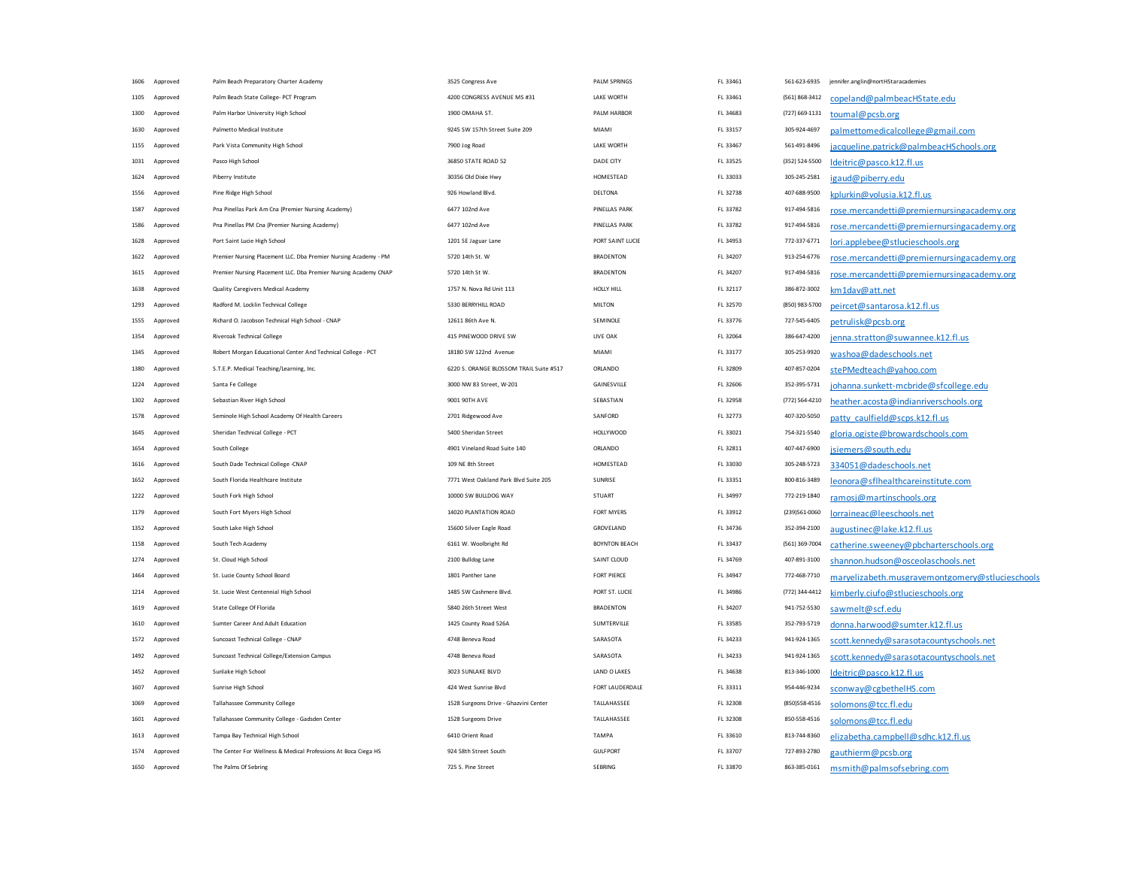| 1606 | Approved      | Palm Beach Preparatory Charter Academy                          | 3525 Congress Ave                       | PALM SPRINGS         | FL 33461 | 561-623-6935   | jennifer.anglin@nortHStaracademies              |
|------|---------------|-----------------------------------------------------------------|-----------------------------------------|----------------------|----------|----------------|-------------------------------------------------|
| 1105 | Approved      | Palm Beach State College- PCT Program                           | 4200 CONGRESS AVENUE MS #31             | <b>LAKE WORTH</b>    | FL 33461 | (561) 868-3412 | copeland@palmbeacHState.edu                     |
| 1300 | Approved      | Palm Harbor University High School                              | 1900 OMAHA ST.                          | PAIM HARBOR          | FL 34683 | (727) 669-1131 | toumal@pcsb.org                                 |
| 1630 | Approved      | Palmetto Medical Institute                                      | 9245 SW 157th Street Suite 209          | MIAMI                | FL 33157 | 305-924-4697   | palmettomedicalcollege@gmail.com                |
| 1155 | Approved      | Park Vista Community High School                                | 7900 Jog Road                           | LAKE WORTH           | FL 33467 | 561-491-8496   | jacqueline.patrick@palmbeacHSchools.org         |
| 1031 | Approved      | Pasco High School                                               | 36850 STATE ROAD 52                     | DADE CITY            | FL 33525 | (352) 524-5500 | Ideitric@pasco.k12.fl.us                        |
| 1624 | Approved      | Piberry Institute                                               | 30356 Old Dixie Hwy                     | HOMESTEAD            | FL 33033 | 305-245-2581   | igaud@piberry.edu                               |
| 1556 | Approved      | Pine Ridge High School                                          | 926 Howland Blvd.                       | DELTONA              | FL 32738 | 407-688-9500   | kplurkin@volusia.k12.fl.us                      |
| 1587 | Approved      | Pna Pinellas Park Am Cna (Premier Nursing Academy)              | 6477 102nd Ave                          | <b>PINELLAS PARK</b> | FL 33782 | 917-494-5816   | rose.mercandetti@premiernursingacademy.org      |
| 1586 | Approved      | Pna Pinellas PM Cna (Premier Nursing Academy)                   | 6477 102nd Ave                          | <b>PINELLAS PARK</b> | FL 33782 | 917-494-5816   | rose.mercandetti@premiernursingacademy.org      |
| 1628 | Approved      | Port Saint Lucie High School                                    | 1201 SE Jaguar Lane                     | PORT SAINT LUCIE     | FL 34953 | 772-337-6771   | lori.applebee@stlucieschools.org                |
| 1622 | Approved      | Premier Nursing Placement LLC. Dba Premier Nursing Academy - PM | 5720 14th St. W                         | <b>BRADENTON</b>     | FL 34207 | 913-254-6776   | rose.mercandetti@premiernursingacademy.org      |
| 1615 | Approved      | Premier Nursing Placement LLC. Dba Premier Nursing Academy CNAP | 5720 14th St W.                         | <b>BRADENTON</b>     | FL 34207 | 917-494-5816   | rose.mercandetti@premiernursingacademy.org      |
| 1638 | Approved      | Quality Caregivers Medical Academy                              | 1757 N. Nova Rd Unit 113                | HOLLY HILL           | FL 32117 | 386-872-3002   | km1dav@att.net                                  |
| 1293 | Approved      | Radford M. Locklin Technical College                            | 5330 BERRYHILL ROAD                     | <b>MILTON</b>        | FL 32570 | (850) 983-5700 | peircet@santarosa.k12.fl.us                     |
| 1555 | Approved      | Richard O. Jacobson Technical High School - CNAP                | 12611 86th Ave N.                       | <b>SEMINOLE</b>      | FL 33776 | 727-545-6405   | petrulisk@pcsb.org                              |
| 1354 | Approved      | <b>Riveroak Technical College</b>                               | 415 PINEWOOD DRIVE SW                   | <b>IIVE OAK</b>      | FL 32064 | 386-647-4200   | jenna.stratton@suwannee.k12.fl.us               |
| 1345 | Approved      | Robert Morgan Educational Center And Technical College - PCT    | 18180 SW 122nd Avenue                   | MIAMI                | FL 33177 | 305-253-9920   | washoa@dadeschools.net                          |
| 1380 | Approved      | S.T.E.P. Medical Teaching/Learning, Inc.                        | 6220 S. ORANGE BLOSSOM TRAIL Suite #517 | ORLANDO              | FL 32809 | 407-857-0204   | stePMedteach@yahoo.com                          |
| 1224 | Approved      | Santa Fe College                                                | 3000 NW 83 Street, W-201                | GAINESVILLE          | FL 32606 | 352-395-5731   | iohanna.sunkett-mcbride@sfcollege.edu           |
| 1302 | Approved      | Sebastian River High School                                     | 9001 90TH AVE                           | SEBASTIAN            | FL 32958 | (772) 564-4210 | heather.acosta@indianriverschools.org           |
| 1578 | Approved      | Seminole High School Academy Of Health Careers                  | 2701 Ridgewood Ave                      | SANFORD              | FL 32773 | 407-320-5050   | patty caulfield@scps.k12.fl.us                  |
| 1645 | Approved      | Sheridan Technical College - PCI                                | 5400 Sheridan Street                    | <b>HOLLYWOOD</b>     | FL 33021 | 754-321-5540   | gloria.ogiste@browardschools.com                |
| 1654 | Approved      | South College                                                   | 4901 Vineland Road Suite 140            | ORLANDO              | FL 32811 | 407-447-6900   | jsiemers@south.edu                              |
| 1616 | Approved      | South Dade Technical College -CNAP                              | 109 NE 8th Street                       | HOMESTEAD            | FL 33030 | 305-248-5723   | 334051@dadeschools.net                          |
| 1652 | Approved      | South Florida Healthcare Institute                              | 7771 West Oakland Park Blvd Suite 205   | SUNRISE              | FL 33351 | 800-816-3489   | eonora@sflhealthcareinstitute.com               |
| 1222 | Approved      | South Fork High School                                          | 10000 SW BULLDOG WAY                    | STUART               | FL 34997 | 772-219-1840   | ramosi@martinschools.org                        |
| 1179 | Approved      | South Fort Myers High School                                    | 14020 PLANTATION ROAD                   | <b>FORT MYERS</b>    | FL 33912 | (239)561-0060  | lorraineac@leeschools.net                       |
| 1352 | Approved      | South Lake High School                                          | 15600 Silver Eagle Road                 | <b>GROVELAND</b>     | FL 34736 | 352-394-2100   | augustinec@lake.k12.fl.us                       |
| 1158 | Approved      | South Tech Academy                                              | 6161 W. Woolbright Rd                   | BOYNTON BEACH        | FL 33437 | (561) 369-7004 | catherine.sweeney@pbcharterschools.org          |
| 1274 | Approved      | St. Cloud High School                                           | 2100 Bulldog Lane                       | SAINT CLOUD          | FL 34769 | 407-891-3100   | shannon.hudson@osceolaschools.net               |
| 1464 | Approved      | St. Lucie County School Board                                   | 1801 Panther Lane                       | <b>FORT PIERCE</b>   | FL 34947 | 772-468-7710   | maryelizabeth.musgravemontgomery@stlucieschools |
| 1214 | Approved      | St. Lucie West Centennial High School                           | 1485 SW Cashmere Blvd.                  | PORT ST. LUCIE       | FL 34986 | (772) 344-4412 | kimberly.ciufo@stlucieschools.org               |
| 1619 | Approved      | <b>State College Of Florida</b>                                 | 5840 26th Street West                   | <b>BRADENTON</b>     | FL 34207 | 941-752-5530   | sawmelt@scf.edu                                 |
| 1610 | Approved      | Sumter Career And Adult Education                               | 1425 County Road 526A                   | SUMTERVILLE          | FL 33585 | 352-793-5719   | donna.harwood@sumter.k12.fl.us                  |
| 1572 | Approved      | Suncoast Technical College - CNAP                               | 4748 Beneva Road                        | SARASOTA             | FI 34233 | 941-924-1365   | scott.kennedy@sarasotacountyschools.net         |
| 1492 | Approved      | Suncoast Technical College/Extension Campus                     | 4748 Beneva Road                        | SARASOTA             | FL 34233 | 941-924-1365   | scott.kennedy@sarasotacountyschools.net         |
| 1452 | Approved      | Sunlake High School                                             | 3023 SUNLAKE BLVD                       | LAND O LAKES         | FL 34638 | 813-346-1000   | Ideitric@pasco.k12.fl.us                        |
| 1607 | Approved      | Sunrise High School                                             | 424 West Sunrise Blvd                   | FORT LAUDERDALE      | FL 33311 | 954-446-9234   | sconway@cgbethelHS.com                          |
| 1069 | Approved      | Tallahassee Community College                                   | 1528 Surgeons Drive - Ghazvini Center   | TALLAHASSEE          | FL 32308 | (850)558-4516  | solomons@tcc.fl.edu                             |
| 1601 | Approved      | Tallahassee Community College - Gadsden Center                  | 1528 Surgeons Drive                     | TALLAHASSEE          | FL 32308 | 850-558-4516   | solomons@tcc.fl.edu                             |
| 1613 | Approved      | Tampa Bay Technical High School                                 | 6410 Orient Road                        | <b>TAMPA</b>         | FL 33610 | 813-744-8360   | elizabetha.campbell@sdhc.k12.fl.us              |
| 1574 | Annroved      | The Center For Wellness & Medical Professions At Boca Ciega HS  | 924 58th Street South                   | <b>GULFPORT</b>      | FL 33707 | 727-893-2780   | gauthierm@pcsb.org                              |
|      | 1650 Approved | The Palms Of Sebring                                            | 725 S. Pine Street                      | SEBRING              | FL 33870 | 863-385-0161   | msmith@palmsofsebring.com                       |